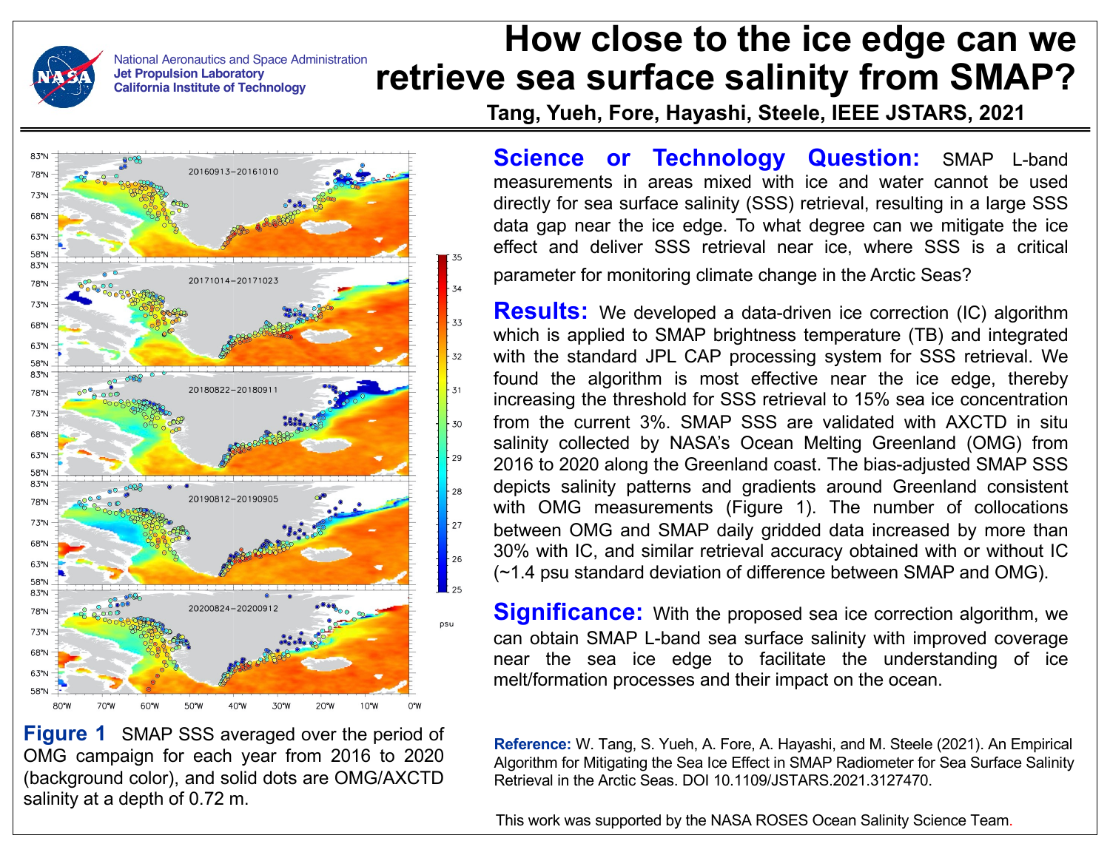National Aeronautics and Space Administration **Jet Propulsion Laboratory California Institute of Technology**

## **How close to the ice edge can we retrieve sea surface salinity from SMAP?**

**Tang, Yueh, Fore, Hayashi, Steele, IEEE JSTARS, 2021**



**Figure 1** SMAP SSS averaged over the period of OMG campaign for each year from 2016 to 2020 (background color), and solid dots are OMG/AXCTD salinity at a depth of 0.72 m.

**Science or Technology Question:** SMAP L-band measurements in areas mixed with ice and water cannot be used directly for sea surface salinity (SSS) retrieval, resulting in a large SSS data gap near the ice edge. To what degree can we mitigate the ice effect and deliver SSS retrieval near ice, where SSS is a critical parameter for monitoring climate change in the Arctic Seas?

**Results:** We developed a data-driven ice correction (IC) algorithm which is applied to SMAP brightness temperature (TB) and integrated with the standard JPL CAP processing system for SSS retrieval. We found the algorithm is most effective near the ice edge, thereby increasing the threshold for SSS retrieval to 15% sea ice concentration from the current 3%. SMAP SSS are validated with AXCTD in situ salinity collected by NASA's Ocean Melting Greenland (OMG) from 2016 to 2020 along the Greenland coast. The bias-adjusted SMAP SSS depicts salinity patterns and gradients around Greenland consistent with OMG measurements (Figure 1). The number of collocations between OMG and SMAP daily gridded data increased by more than 30% with IC, and similar retrieval accuracy obtained with or without IC (~1.4 psu standard deviation of difference between SMAP and OMG).

**Significance:** With the proposed sea ice correction algorithm, we can obtain SMAP L-band sea surface salinity with improved coverage near the sea ice edge to facilitate the understanding of ice melt/formation processes and their impact on the ocean.

**Reference:** W. Tang, S. Yueh, A. Fore, A. Hayashi, and M. Steele (2021). An Empirical Algorithm for Mitigating the Sea Ice Effect in SMAP Radiometer for Sea Surface Salinity Retrieval in the Arctic Seas. DOI 10.1109/JSTARS.2021.3127470.

This work was supported by the NASA ROSES Ocean Salinity Science Team.